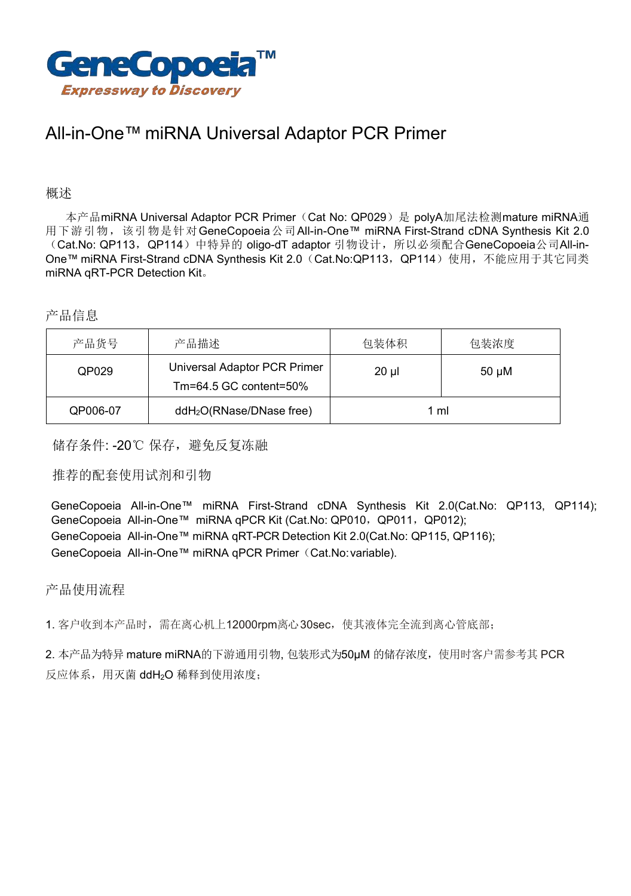

# All-in-One™ miRNA Universal Adaptor PCR Primer

### 概述 スコット・ショップ しゅうしょう しんしょう あいしん

本产品miRNA Universal Adaptor PCR Primer(Cat No: QP029)是 polvA加尾法检测mature miRNA通 用下游引物,该引物是针对GeneCopoeia公司All-in-One™ miRNA First-Strand cDNA Synthesis Kit 2.0 (Cat.No: QP113, QP114) 中特异的 oligo-dT adaptor 引物设计, 所以必须配合GeneCopoeia公司All-in-One™ miRNA First-Strand cDNA Synthesis Kit 2.0 (Cat.No:QP113, QP114)使用, 不能应用于其它同类 miRNA qRT-PCR Detection Kit。

#### 产品信息

| 产品货号     | 产品描述                                                     | 包装体积     | 包装浓度  |
|----------|----------------------------------------------------------|----------|-------|
| QP029    | Universal Adaptor PCR Primer<br>$Tm=64.5$ GC content=50% | $20 \mu$ | 50 µM |
| QP006-07 | ddH <sub>2</sub> O(RNase/DNase free)                     | ml       |       |

储存条件: -20℃ 保存,避免反复冻融

## 推荐的配套使用试剂和引物

GeneCopoeia All-in-One™ miRNA First-Strand cDNA Synthesis Kit 2.0(Cat.No: QP113, QP114); GeneCopoeia All-in-One™ miRNA qPCR Kit (Cat.No: QP010, QP011, QP012); GeneCopoeia All-in-One™ miRNA qRT-PCR Detection Kit 2.0(Cat.No: QP115, QP116); GeneCopoeia All-in-One™ miRNA qPCR Primer (Cat.No: variable).

## 产品使用流程

1. 客户收到本产品时,需在离心机上12000rpm离心30sec,使其液体完全流到离心管底部;

2. 本产品为特异 mature miRNA的下游通用引物, 包装形式为50uM 的储存浓度, 使用时客户需参考其 PCR 反应体系,用灭菌 ddH2O 稀释到使用浓度;